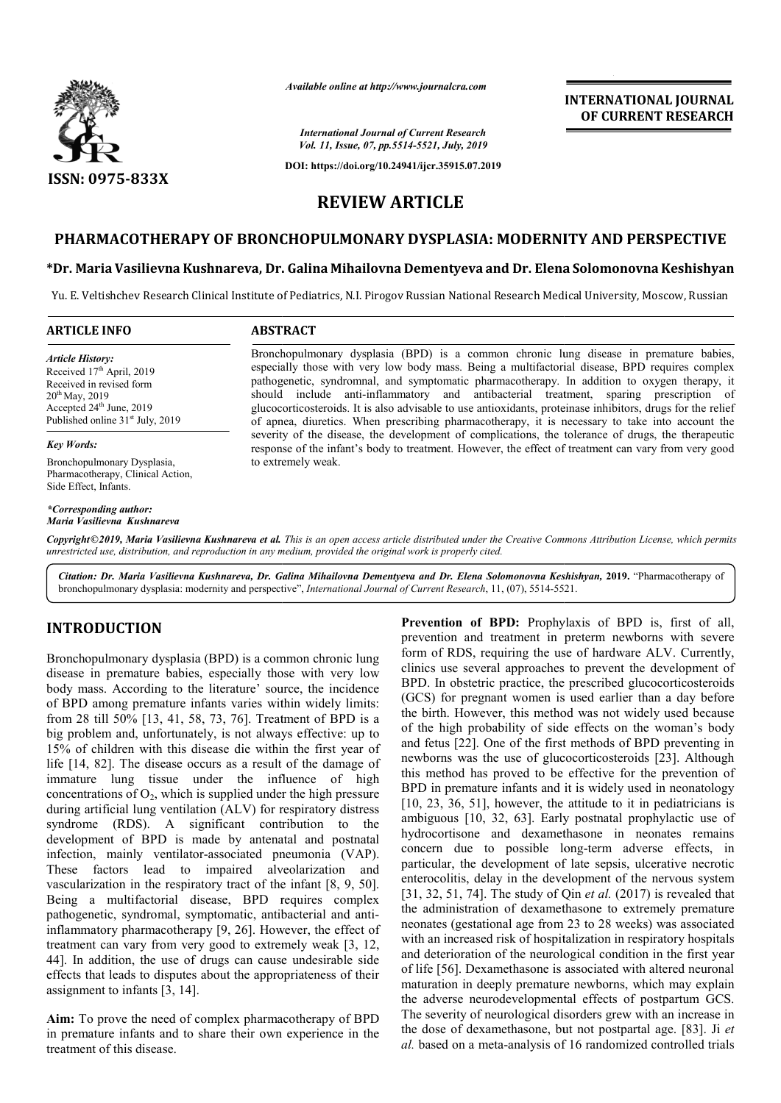

*Available online at http://www.journalcra.com*

## **INTERNATIONAL JOURNAL OF CURRENT RESEARCH**

*International Journal of Current Research Vol. 11, Issue, 07, pp.5514-5521, July, 2019*

**DOI: https://doi.org/10.24941/ijcr.35915.07.2019**

# **REVIEW ARTICLE**

## **PHARMACOTHERAPY OF BRONCHOPULMONARY DYSPLASIA: MODERNITY AND PERSPECTIVE OF BRONCHOPULMONARY**

### **\*Dr. Maria Vasilievna Kushnareva, Dr. Galina Mihailovna Dementyeva and Dr. Elena Solomonovna Keshishyan**

Yu. E. Veltishchev Research Clinical Institute of Pediatrics, N.I. Pirogov Russian National Research Medical University, Moscow, Russian

#### **ARTICLE INFO ABSTRACT**

*Article History:* Received 17<sup>th</sup> April, 2019 Received in revised form 20th May, 2019 Accepted 24<sup>th</sup> June, 2019 Published online 31<sup>st</sup> July, 2019

*Key Words:*

Bronchopulmonary Dysplasia, Pharmacotherapy, Clinical Action, Side Effect, Infants.

*\*Corresponding author: Maria Vasilievna Kushnareva*

Bronchopulmonary dysplasia (BPD) is a common chronic lung disease in premature babies, especially those with very low body mass. Being a multifactorial disease, BPD requires complex pathogenetic, syndromnal, and symptomatic pharmacotherapy. In addition to oxygen therapy, it should include anti anti-inflammatory and antibacterial treatment, sparing prescription of glucocorticosteroids. It is also advisable to use antioxidants, proteinase i of apnea, diuretics. When prescribing pharmacotherapy, it is necessary to take into account the severity of the disease, the development of complications, the tolerance of drugs, the therapeutic response of the infant's body to treatment. However, the effect of treatment can vary from very good to extremely weak. Bronchopulmonary dysplasia (BPD) is a common chronic lung disease in premature babies, especially those with very low body mass. Being a multifactorial disease, BPD requires complex pathogenetic, syndromnal, and symptomati of apnea, diuretics. When prescribing pharmacotherapy, it is necessary to take in<br>severity of the disease, the development of complications, the tolerance of drugs,<br>response of the infant's body to treatment. However, the

Copyright©2019, Maria Vasilievna Kushnareva et al. This is an open access article distributed under the Creative Commons Attribution License, which permits *unrestricted use, distribution, and reproduction in any medium, provided the original work is properly cited.*

Citation: Dr. Maria Vasilievna Kushnareva, Dr. Galina Mihailovna Dementyeva and Dr. Elena Solomonovna Keshishyan, 2019. "Pharmacotherapy of bronchopulmonary dysplasia: modernity and perspective", *International Journal of Current Research*, 11, (07), 5514-5521.

## **INTRODUCTION**

Bronchopulmonary dysplasia (BPD) is a common chronic lung disease in premature babies, especially those with very low body mass. According to the literature' source, the incidence of BPD among premature infants varies within widely limits: from 28 till 50% [13, 41, 58, 73, 76]. Treatment of BPD is a big problem and, unfortunately, is not always effective: up to 15% of children with this disease die within the first year of life [14, 82]. The disease occurs as a result of the damage of immature lung tissue under the influence of high concentrations of  $O_2$ , which is supplied under the high pressure during artificial lung ventilation (ALV) for respiratory distress syndrome (RDS). A significant contribution to the development of BPD is made by antenatal and postnatal infection, mainly ventilator-associated pneumonia (VAP). These factors lead to impaired alveolarization and vascularization in the respiratory tract of the infant [8, 9, 50]. Being a multifactorial disease, BPD requires complex pathogenetic, syndromal, symptomatic, antibacterial and antiinflammatory pharmacotherapy [9, 26]. However, the effect of treatment can vary from very good to extremely weak [3, 12, 44]. In addition, the use of drugs can cause undesirable side effects that leads to disputes about the appropriateness of their assignment to infants [3, 14]. %, which is supplied up<br>ty ventilation (ALV) f<br>A significant c<br>PD is made by ant<br>ventilator-associated

**Aim:** To prove the need of complex pharmacotherapy of BPD in premature infants and to share their own experience in the treatment of this disease.

**Prevention of BPD:** Prophylaxis of BPD is, first of all, prevention and treatment in preterm newborns with severe form of RDS, requiring the use of hardware ALV. Currently, clinics use several approaches to prevent the development of BPD. In obstetric practice, the prescribed glucocorticosteroids (GCS) for pregnant women is used earlier than a day before the birth. However, this method was not widely used because of the high probability of side effects on the woman's body and fetus [22]. One of the first methods of BPD preventing in newborns was the use of glucocorticosteroids [23]. Although this method has proved to be effective for the prevention of BPD in premature infants and it is widely used in neonatology [10, 23, 36, 51], however, the attitude to it in pediatricians is ambiguous [10, 32, 63]. Early postnatal prophylactic use of hydrocortisone and dexamethasone in neonates remains concern due to possible long-term adverse effects, in particular, the development of late sepsis, ulcerative necrotic enterocolitis, delay in the development of the nervous system particular, the development of late sepsis, ulcerative necrotic enterocolitis, delay in the development of the nervous system [31, 32, 51, 74]. The study of Qin *et al.* (2017) is revealed that the administration of dexamethasone to extremely premature neonates (gestational age from 23 to 28 weeks) was associated with an increased risk of hospitalization in respiratory hospitals and deterioration of the neurological condition in the first year of life [56]. Dexamethasone is associated with altered neuronal maturation in deeply premature newborns, which may explain the adverse neurodevelopmental effects of postpartum GCS. The severity of neurological disorders grew with an increase in the dose of dexamethasone, but not postpartal age. [83]. Ji et *al.* based on a meta-analysis of 16 randomized controlled trials **EXECUTE THE EXECUTE THE EXECUTE THE EXECUTE THE USE THE UNIVERTIES THE USE TO DETERT INTO THE USE TO DETERT IN THE USE SURVEY THAT USE SURVEY THE USE THE USE THE USE THE USE THE USE THE USE THE USE THE USE THE FIRST AND N** has proved to be effective for the prevention of aature infants and it is widely used in neonatology 51], however, the attitude to it in pediatricians is 10, 32, 63]. Early postnatal prophylactic use of the administration of dexamethasone to extremely premature<br>neonates (gestational age from 23 to 28 weeks) was associated<br>with an increased risk of hospitalization in respiratory hospitals<br>and deterioration of the neurologi **INTERNATIONAL JOURNAL OF CURRENT RESEARCH**<br> **OF CURRENT RESEARCH**<br> **Dr. Elena Solomonovna Keshishyan**<br>
search Medical University, Moscow, Russian<br>
reducince lung disease in premature babies,<br>
multifactorial disease, BPD r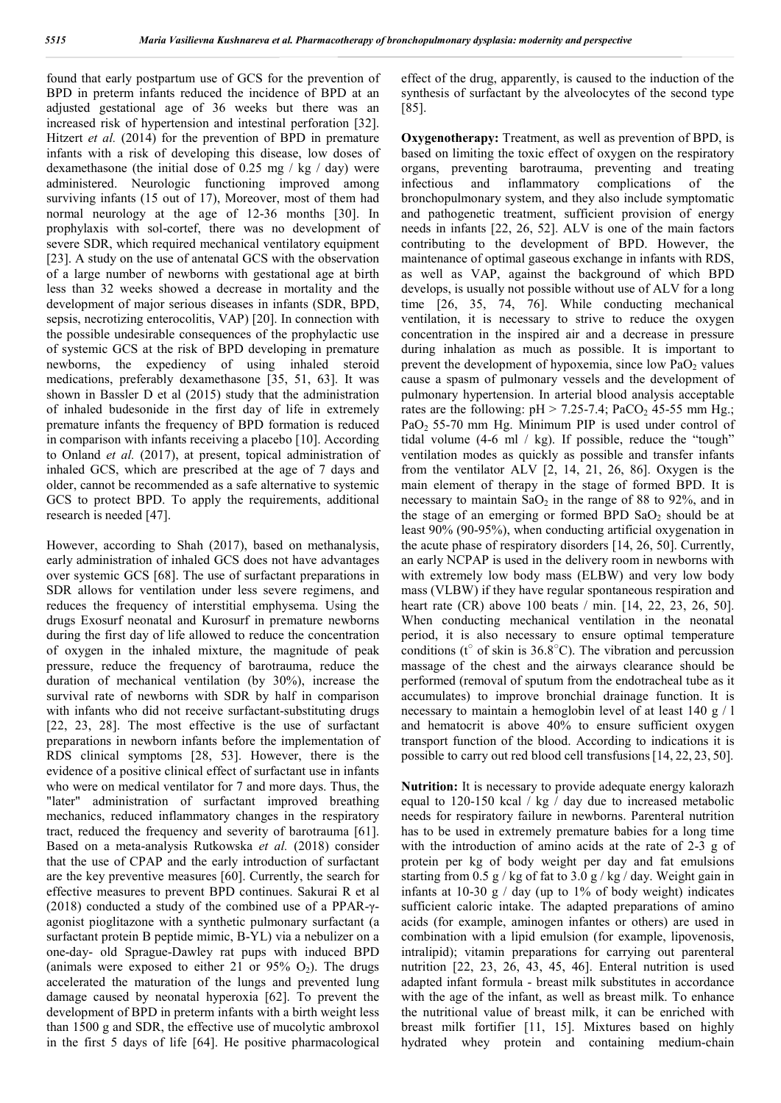found that early postpartum use of GCS for the prevention of BPD in preterm infants reduced the incidence of BPD at an adjusted gestational age of 36 weeks but there was an increased risk of hypertension and intestinal perforation [32]. Hitzert *et al.* (2014) for the prevention of BPD in premature infants with a risk of developing this disease, low doses of dexamethasone (the initial dose of 0.25 mg / kg / day) were administered. Neurologic functioning improved among surviving infants (15 out of 17), Moreover, most of them had normal neurology at the age of 12-36 months [30]. In prophylaxis with sol-cortef, there was no development of severe SDR, which required mechanical ventilatory equipment [23]. A study on the use of antenatal GCS with the observation of a large number of newborns with gestational age at birth less than 32 weeks showed a decrease in mortality and the development of major serious diseases in infants (SDR, BPD, sepsis, necrotizing enterocolitis, VAP) [20]. In connection with the possible undesirable consequences of the prophylactic use of systemic GCS at the risk of BPD developing in premature newborns, the expediency of using inhaled steroid medications, preferably dexamethasone [35, 51, 63]. It was shown in Bassler D et al (2015) study that the administration of inhaled budesonide in the first day of life in extremely premature infants the frequency of BPD formation is reduced in comparison with infants receiving a placebo [10]. According to Onland *et al.* (2017), at present, topical administration of inhaled GCS, which are prescribed at the age of 7 days and older, cannot be recommended as a safe alternative to systemic GCS to protect BPD. To apply the requirements, additional research is needed [47].

However, according to Shah (2017), based on methanalysis, early administration of inhaled GCS does not have advantages over systemic GCS [68]. The use of surfactant preparations in SDR allows for ventilation under less severe regimens, and reduces the frequency of interstitial emphysema. Using the drugs Exosurf neonatal and Kurosurf in premature newborns during the first day of life allowed to reduce the concentration of oxygen in the inhaled mixture, the magnitude of peak pressure, reduce the frequency of barotrauma, reduce the duration of mechanical ventilation (by 30%), increase the survival rate of newborns with SDR by half in comparison with infants who did not receive surfactant-substituting drugs [22, 23, 28]. The most effective is the use of surfactant preparations in newborn infants before the implementation of RDS clinical symptoms [28, 53]. However, there is the evidence of a positive clinical effect of surfactant use in infants who were on medical ventilator for 7 and more days. Thus, the "later" administration of surfactant improved breathing mechanics, reduced inflammatory changes in the respiratory tract, reduced the frequency and severity of barotrauma [61]. Based on a meta-analysis Rutkowska *et al.* (2018) consider that the use of CPAP and the early introduction of surfactant are the key preventive measures [60]. Currently, the search for effective measures to prevent BPD continues. Sakurai R et al (2018) conducted a study of the combined use of a PPAR-γagonist pioglitazone with a synthetic pulmonary surfactant (a surfactant protein B peptide mimic, B-YL) via a nebulizer on a one-day- old Sprague-Dawley rat pups with induced BPD (animals were exposed to either 21 or 95%  $O_2$ ). The drugs accelerated the maturation of the lungs and prevented lung damage caused by neonatal hyperoxia [62]. To prevent the development of BPD in preterm infants with a birth weight less than 1500 g and SDR, the effective use of mucolytic ambroxol in the first 5 days of life [64]. He positive pharmacological

effect of the drug, apparently, is caused to the induction of the synthesis of surfactant by the alveolocytes of the second type [85].

**Oxygenotherapy:** Treatment, as well as prevention of BPD, is based on limiting the toxic effect of oxygen on the respiratory organs, preventing barotrauma, preventing and treating infectious and inflammatory complications of the bronchopulmonary system, and they also include symptomatic and pathogenetic treatment, sufficient provision of energy needs in infants [22, 26, 52]. ALV is one of the main factors contributing to the development of BPD. However, the maintenance of optimal gaseous exchange in infants with RDS, as well as VAP, against the background of which BPD develops, is usually not possible without use of ALV for a long time [26, 35, 74, 76]. While conducting mechanical ventilation, it is necessary to strive to reduce the oxygen concentration in the inspired air and a decrease in pressure during inhalation as much as possible. It is important to prevent the development of hypoxemia, since low  $PaO<sub>2</sub>$  values cause a spasm of pulmonary vessels and the development of pulmonary hypertension. In arterial blood analysis acceptable rates are the following:  $pH > 7.25-7.4$ ; PaCO<sub>2</sub> 45-55 mm Hg.; PaO<sub>2</sub> 55-70 mm Hg. Minimum PIP is used under control of tidal volume (4-6 ml / kg). If possible, reduce the "tough" ventilation modes as quickly as possible and transfer infants from the ventilator ALV [2, 14, 21, 26, 86]. Oxygen is the main element of therapy in the stage of formed BPD. It is necessary to maintain  $SaO<sub>2</sub>$  in the range of 88 to 92%, and in the stage of an emerging or formed BPD SaO<sub>2</sub> should be at least 90% (90-95%), when conducting artificial oxygenation in the acute phase of respiratory disorders [14, 26, 50]. Currently, an early NCPAP is used in the delivery room in newborns with with extremely low body mass (ELBW) and very low body mass (VLBW) if they have regular spontaneous respiration and heart rate (CR) above 100 beats / min. [14, 22, 23, 26, 50]. When conducting mechanical ventilation in the neonatal period, it is also necessary to ensure optimal temperature conditions ( $t^{\circ}$  of skin is 36.8 $^{\circ}$ C). The vibration and percussion massage of the chest and the airways clearance should be performed (removal of sputum from the endotracheal tube as it accumulates) to improve bronchial drainage function. It is necessary to maintain a hemoglobin level of at least 140 g / l and hematocrit is above 40% to ensure sufficient oxygen transport function of the blood. According to indications it is possible to carry out red blood cell transfusions[14, 22, 23, 50].

**Nutrition:** It is necessary to provide adequate energy kalorazh equal to 120-150 kcal / kg / day due to increased metabolic needs for respiratory failure in newborns. Parenteral nutrition has to be used in extremely premature babies for a long time with the introduction of amino acids at the rate of 2-3 g of protein per kg of body weight per day and fat emulsions starting from 0.5 g / kg of fat to 3.0 g / kg / day. Weight gain in infants at 10-30 g / day (up to 1% of body weight) indicates sufficient caloric intake. The adapted preparations of amino acids (for example, aminogen infantes or others) are used in combination with a lipid emulsion (for example, lipovenosis, intralipid); vitamin preparations for carrying out parenteral nutrition [22, 23, 26, 43, 45, 46]. Enteral nutrition is used adapted infant formula - breast milk substitutes in accordance with the age of the infant, as well as breast milk. To enhance the nutritional value of breast milk, it can be enriched with breast milk fortifier [11, 15]. Mixtures based on highly hydrated whey protein and containing medium-chain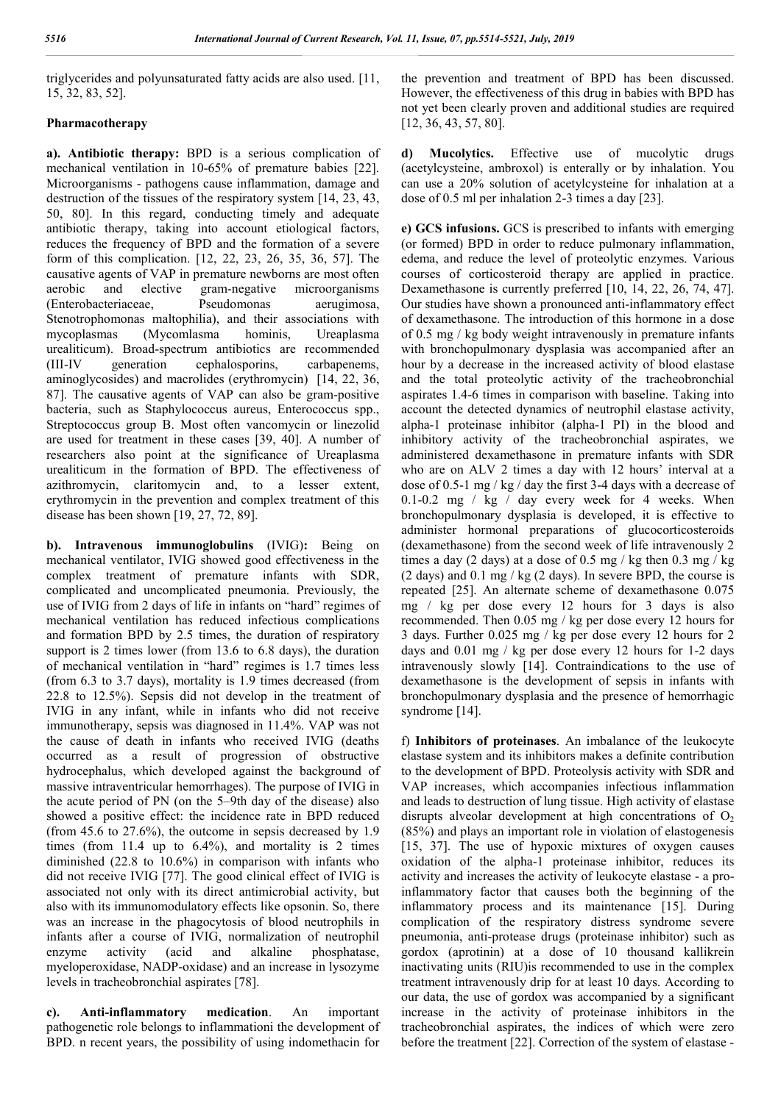triglycerides and polyunsaturated fatty acids are also used. [11, 15, 32, 83, 52].

### **Pharmacotherapy**

**а). Antibiotic therapy:** BPD is a serious complication of mechanical ventilation in 10-65% of premature babies [22]. Microorganisms - pathogens cause inflammation, damage and destruction of the tissues of the respiratory system [14, 23, 43, 50, 80]. In this regard, conducting timely and adequate antibiotic therapy, taking into account etiological factors, reduces the frequency of BPD and the formation of a severe form of this complication. [12, 22, 23, 26, 35, 36, 57]. The causative agents of VAP in premature newborns are most often aerobic and elective gram-negative microorganisms (Enterobacteriaceae, Pseudomonas aerugimosa, Stenotrophomonas maltophilia), and their associations with mycoplasmas (Mycomlasma hominis, Ureaplasma urealiticum). Broad-spectrum antibiotics are recommended<br>(III-IV generation cephalosporins, carbapenems, cephalosporins, carbapenems, aminoglycosides) and macrolides (erythromycin) [14, 22, 36, 87]. The causative agents of VAP can also be gram-positive bacteria, such as Staphylococcus aureus, Enterococcus spp., Streptococcus group B. Most often vancomycin or linezolid are used for treatment in these cases [39, 40]. A number of researchers also point at the significance of Ureaplasma urealiticum in the formation of BPD. The effectiveness of azithromycin, claritomycin and, to a lesser extent, erythromycin in the prevention and complex treatment of this disease has been shown [19, 27, 72, 89].

**b). Intravenous immunoglobulins** (IVIG)**:** Being on mechanical ventilator, IVIG showed good effectiveness in the complex treatment of premature infants with SDR, complicated and uncomplicated pneumonia. Previously, the use of IVIG from 2 days of life in infants on "hard" regimes of mechanical ventilation has reduced infectious complications and formation BPD by 2.5 times, the duration of respiratory support is 2 times lower (from 13.6 to 6.8 days), the duration of mechanical ventilation in "hard" regimes is 1.7 times less (from 6.3 to 3.7 days), mortality is 1.9 times decreased (from 22.8 to 12.5%). Sepsis did not develop in the treatment of IVIG in any infant, while in infants who did not receive immunotherapy, sepsis was diagnosed in 11.4%. VAP was not the cause of death in infants who received IVIG (deaths occurred as a result of progression of obstructive hydrocephalus, which developed against the background of massive intraventricular hemorrhages). The purpose of IVIG in the acute period of PN (on the 5–9th day of the disease) also showed a positive effect: the incidence rate in BPD reduced (from 45.6 to 27.6%), the outcome in sepsis decreased by 1.9 times (from 11.4 up to 6.4%), and mortality is 2 times diminished (22.8 to 10.6%) in comparison with infants who did not receive IVIG [77]. The good clinical effect of IVIG is associated not only with its direct antimicrobial activity, but also with its immunomodulatory effects like opsonin. So, there was an increase in the phagocytosis of blood neutrophils in infants after a course of IVIG, normalization of neutrophil enzyme activity (acid and alkaline phosphatase, myeloperoxidase, NADP-oxidase) and an increase in lysozyme levels in tracheobronchial aspirates [78].

**c). Anti-inflammatory medication**. An important pathogenetic role belongs to inflammationi the development of BPD. n recent years, the possibility of using indomethacin for

the prevention and treatment of BPD has been discussed. However, the effectiveness of this drug in babies with BPD has not yet been clearly proven and additional studies are required [12, 36, 43, 57, 80].

**d) Mucolytics.** Effective use of mucolytic drugs (acetylcysteine, ambroxol) is enterally or by inhalation. You can use a 20% solution of acetylcysteine for inhalation at a dose of 0.5 ml per inhalation 2-3 times a day [23].

**e) GCS infusions.** GCS is prescribed to infants with emerging (or formed) BPD in order to reduce pulmonary inflammation, edema, and reduce the level of proteolytic enzymes. Various courses of corticosteroid therapy are applied in practice. Dexamethasone is currently preferred [10, 14, 22, 26, 74, 47]. Our studies have shown a pronounced anti-inflammatory effect of dexamethasone. The introduction of this hormone in a dose of 0.5 mg / kg body weight intravenously in premature infants with bronchopulmonary dysplasia was accompanied after an hour by a decrease in the increased activity of blood elastase and the total proteolytic activity of the tracheobronchial aspirates 1.4-6 times in comparison with baseline. Taking into account the detected dynamics of neutrophil elastase activity, alpha-1 proteinase inhibitor (alpha-1 PI) in the blood and inhibitory activity of the tracheobronchial aspirates, we administered dexamethasone in premature infants with SDR who are on ALV 2 times a day with 12 hours' interval at a dose of 0.5-1 mg / kg / day the first 3-4 days with a decrease of 0.1-0.2 mg / kg / day every week for 4 weeks. When bronchopulmonary dysplasia is developed, it is effective to administer hormonal preparations of glucocorticosteroids (dexamethasone) from the second week of life intravenously 2 times a day (2 days) at a dose of 0.5 mg / kg then 0.3 mg / kg (2 days) and 0.1 mg / kg (2 days). In severe BPD, the course is repeated [25]. An alternate scheme of dexamethasone 0.075 mg / kg per dose every 12 hours for 3 days is also recommended. Then 0.05 mg / kg per dose every 12 hours for 3 days. Further 0.025 mg / kg per dose every 12 hours for 2 days and 0.01 mg / kg per dose every 12 hours for 1-2 days intravenously slowly [14]. Contraindications to the use of dexamethasone is the development of sepsis in infants with bronchopulmonary dysplasia and the presence of hemorrhagic syndrome [14].

f) **Inhibitors of proteinases**. An imbalance of the leukocyte elastase system and its inhibitors makes a definite contribution to the development of BPD. Proteolysis activity with SDR and VAP increases, which accompanies infectious inflammation and leads to destruction of lung tissue. High activity of elastase disrupts alveolar development at high concentrations of  $O<sub>2</sub>$ (85%) and plays an important role in violation of elastogenesis [15, 37]. The use of hypoxic mixtures of oxygen causes oxidation of the alpha-1 proteinase inhibitor, reduces its activity and increases the activity of leukocyte elastase - a proinflammatory factor that causes both the beginning of the inflammatory process and its maintenance [15]. During complication of the respiratory distress syndrome severe pneumonia, anti-protease drugs (proteinase inhibitor) such as gordox (aprotinin) at a dose of 10 thousand kallikrein inactivating units (RIU)is recommended to use in the complex treatment intravenously drip for at least 10 days. According to our data, the use of gordox was accompanied by a significant increase in the activity of proteinase inhibitors in the tracheobronchial aspirates, the indices of which were zero before the treatment [22]. Correction of the system of elastase -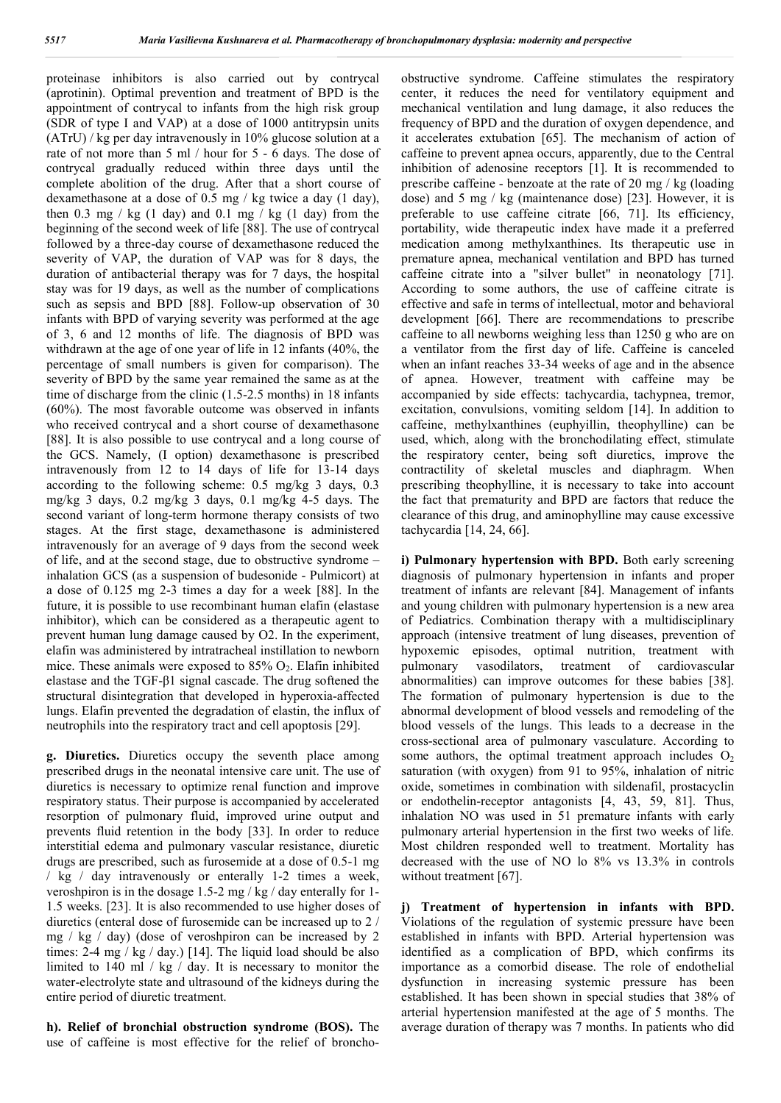proteinase inhibitors is also carried out by contrycal (aprotinin). Optimal prevention and treatment of BPD is the appointment of contrycal to infants from the high risk group (SDR of type I and VAP) at a dose of 1000 antitrypsin units (ATrU) / kg per day intravenously in 10% glucose solution at a rate of not more than 5 ml / hour for 5 - 6 days. The dose of contrycal gradually reduced within three days until the complete abolition of the drug. After that a short course of dexamethasone at a dose of 0.5 mg / kg twice a day (1 day), then 0.3 mg / kg (1 day) and 0.1 mg / kg (1 day) from the beginning of the second week of life [88]. The use of contrycal followed by a three-day course of dexamethasone reduced the severity of VAP, the duration of VAP was for 8 days, the duration of antibacterial therapy was for 7 days, the hospital stay was for 19 days, as well as the number of complications such as sepsis and BPD [88]. Follow-up observation of 30 infants with BPD of varying severity was performed at the age of 3, 6 and 12 months of life. The diagnosis of BPD was withdrawn at the age of one year of life in 12 infants (40%, the percentage of small numbers is given for comparison). The severity of BPD by the same year remained the same as at the time of discharge from the clinic (1.5-2.5 months) in 18 infants (60%). The most favorable outcome was observed in infants who received contrycal and a short course of dexamethasone [88]. It is also possible to use contrycal and a long course of the GCS. Namely, (I option) dexamethasone is prescribed intravenously from 12 to 14 days of life for 13-14 days according to the following scheme: 0.5 mg/kg 3 days, 0.3 mg/kg 3 days, 0.2 mg/kg 3 days, 0.1 mg/kg 4-5 days. The second variant of long-term hormone therapy consists of two stages. At the first stage, dexamethasone is administered intravenously for an average of 9 days from the second week of life, and at the second stage, due to obstructive syndrome – inhalation GCS (as a suspension of budesonide - Pulmicort) at a dose of 0.125 mg 2-3 times a day for a week [88]. In the future, it is possible to use recombinant human elafin (elastase inhibitor), which can be considered as a therapeutic agent to prevent human lung damage caused by O2. In the experiment, elafin was administered by intratracheal instillation to newborn mice. These animals were exposed to  $85\%$  O<sub>2</sub>. Elafin inhibited elastase and the TGF-β1 signal cascade. The drug softened the structural disintegration that developed in hyperoxia-affected lungs. Elafin prevented the degradation of elastin, the influx of neutrophils into the respiratory tract and cell apoptosis [29].

**g. Diuretics.** Diuretics occupy the seventh place among prescribed drugs in the neonatal intensive care unit. The use of diuretics is necessary to optimize renal function and improve respiratory status. Their purpose is accompanied by accelerated resorption of pulmonary fluid, improved urine output and prevents fluid retention in the body [33]. In order to reduce interstitial edema and pulmonary vascular resistance, diuretic drugs are prescribed, such as furosemide at a dose of 0.5-1 mg / kg / day intravenously or enterally 1-2 times a week, veroshpiron is in the dosage 1.5-2 mg / kg / day enterally for 1- 1.5 weeks. [23]. It is also recommended to use higher doses of diuretics (enteral dose of furosemide can be increased up to 2 / mg / kg / day) (dose of veroshpiron can be increased by 2 times: 2-4 mg /  $kg$  / day.) [14]. The liquid load should be also limited to 140 ml / kg / day. It is necessary to monitor the water-electrolyte state and ultrasound of the kidneys during the entire period of diuretic treatment.

**h). Relief of bronchial obstruction syndrome (BOS).** The use of caffeine is most effective for the relief of bronchoobstructive syndrome. Caffeine stimulates the respiratory center, it reduces the need for ventilatory equipment and mechanical ventilation and lung damage, it also reduces the frequency of BPD and the duration of oxygen dependence, and it accelerates extubation [65]. The mechanism of action of caffeine to prevent apnea occurs, apparently, due to the Central inhibition of adenosine receptors [1]. It is recommended to prescribe caffeine - benzoate at the rate of 20 mg / kg (loading dose) and 5 mg / kg (maintenance dose) [23]. However, it is preferable to use caffeine citrate [66, 71]. Its efficiency, portability, wide therapeutic index have made it a preferred medication among methylxanthines. Its therapeutic use in premature apnea, mechanical ventilation and BPD has turned caffeine citrate into a "silver bullet" in neonatology [71]. According to some authors, the use of caffeine citrate is effective and safe in terms of intellectual, motor and behavioral development [66]. There are recommendations to prescribe caffeine to all newborns weighing less than 1250 g who are on a ventilator from the first day of life. Caffeine is canceled when an infant reaches 33-34 weeks of age and in the absence of apnea. However, treatment with caffeine may be accompanied by side effects: tachycardia, tachypnea, tremor, excitation, convulsions, vomiting seldom [14]. In addition to caffeine, methylxanthines (euphyillin, theophylline) can be used, which, along with the bronchodilating effect, stimulate the respiratory center, being soft diuretics, improve the contractility of skeletal muscles and diaphragm. When prescribing theophylline, it is necessary to take into account the fact that prematurity and BPD are factors that reduce the clearance of this drug, and aminophylline may cause excessive tachycardia [14, 24, 66].

**i) Pulmonary hypertension with BPD.** Both early screening diagnosis of pulmonary hypertension in infants and proper treatment of infants are relevant [84]. Management of infants and young children with pulmonary hypertension is a new area of Pediatrics. Combination therapy with a multidisciplinary approach (intensive treatment of lung diseases, prevention of hypoxemic episodes, optimal nutrition, treatment with pulmonary vasodilators, treatment of cardiovascular abnormalities) can improve outcomes for these babies [38]. The formation of pulmonary hypertension is due to the abnormal development of blood vessels and remodeling of the blood vessels of the lungs. This leads to a decrease in the cross-sectional area of pulmonary vasculature. According to some authors, the optimal treatment approach includes  $O_2$ saturation (with oxygen) from 91 to 95%, inhalation of nitric oxide, sometimes in combination with sildenafil, prostacyclin or endothelin-receptor antagonists [4, 43, 59, 81]. Thus, inhalation NO was used in 51 premature infants with early pulmonary arterial hypertension in the first two weeks of life. Most children responded well to treatment. Mortality has decreased with the use of NO lo 8% vs 13.3% in controls without treatment [67].

**j) Treatment of hypertension in infants with BPD.** Violations of the regulation of systemic pressure have been established in infants with BPD. Arterial hypertension was identified as a complication of BPD, which confirms its importance as a comorbid disease. The role of endothelial dysfunction in increasing systemic pressure has been established. It has been shown in special studies that 38% of arterial hypertension manifested at the age of 5 months. The average duration of therapy was 7 months. In patients who did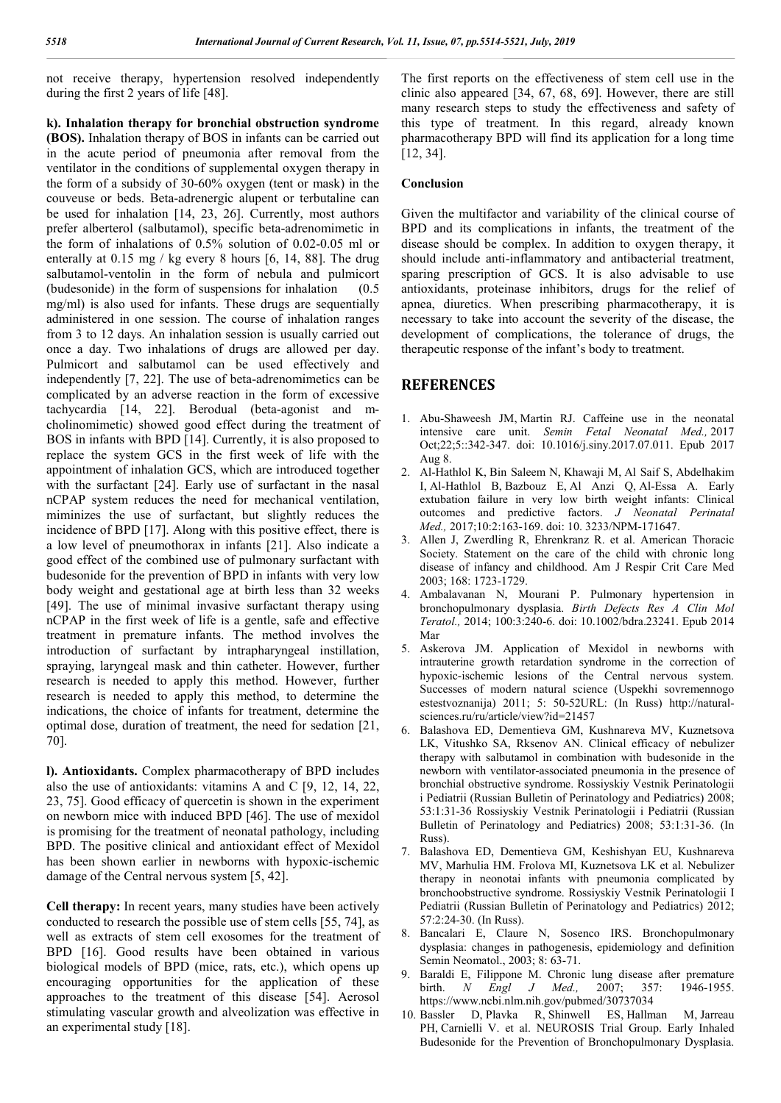not receive therapy, hypertension resolved independently during the first 2 years of life [48].

**k). Inhalation therapy for bronchial obstruction syndrome (BOS).** Inhalation therapy of BOS in infants can be carried out in the acute period of pneumonia after removal from the ventilator in the conditions of supplemental oxygen therapy in the form of a subsidy of 30-60% oxygen (tent or mask) in the couveuse or beds. Beta-adrenergic alupent or terbutaline can be used for inhalation [14, 23, 26]. Currently, most authors prefer alberterol (salbutamol), specific beta-adrenomimetic in the form of inhalations of 0.5% solution of 0.02-0.05 ml or enterally at 0.15 mg / kg every 8 hours [6, 14, 88]. The drug salbutamol-ventolin in the form of nebula and pulmicort (budesonide) in the form of suspensions for inhalation (0.5 mg/ml) is also used for infants. These drugs are sequentially administered in one session. The course of inhalation ranges from 3 to 12 days. An inhalation session is usually carried out once a day. Two inhalations of drugs are allowed per day. Pulmicort and salbutamol can be used effectively and independently [7, 22]. The use of beta-adrenomimetics can be complicated by an adverse reaction in the form of excessive tachycardia [14, 22]. Berodual (beta-agonist and mcholinomimetic) showed good effect during the treatment of BOS in infants with BPD [14]. Currently, it is also proposed to replace the system GCS in the first week of life with the appointment of inhalation GCS, which are introduced together with the surfactant [24]. Early use of surfactant in the nasal nCPAP system reduces the need for mechanical ventilation, miminizes the use of surfactant, but slightly reduces the incidence of BPD [17]. Along with this positive effect, there is a low level of pneumothorax in infants [21]. Also indicate a good effect of the combined use of pulmonary surfactant with budesonide for the prevention of BPD in infants with very low body weight and gestational age at birth less than 32 weeks [49]. The use of minimal invasive surfactant therapy using nCPAP in the first week of life is a gentle, safe and effective treatment in premature infants. The method involves the introduction of surfactant by intrapharyngeal instillation, spraying, laryngeal mask and thin catheter. However, further research is needed to apply this method. However, further research is needed to apply this method, to determine the indications, the choice of infants for treatment, determine the optimal dose, duration of treatment, the need for sedation [21, 70].

**l). Antioxidants.** Complex pharmacotherapy of BPD includes also the use of antioxidants: vitamins A and C [9, 12, 14, 22, 23, 75]. Good efficacy of quercetin is shown in the experiment on newborn mice with induced BPD [46]. The use of mexidol is promising for the treatment of neonatal pathology, including BPD. The positive clinical and antioxidant effect of Mexidol has been shown earlier in newborns with hypoxic-ischemic damage of the Central nervous system [5, 42].

**Cell therapy:** In recent years, many studies have been actively conducted to research the possible use of stem cells [55, 74], as well as extracts of stem cell exosomes for the treatment of BPD [16]. Good results have been obtained in various biological models of BPD (mice, rats, etc.), which opens up encouraging opportunities for the application of these approaches to the treatment of this disease [54]. Aerosol stimulating vascular growth and alveolization was effective in an experimental study [18].

The first reports on the effectiveness of stem cell use in the clinic also appeared [34, 67, 68, 69]. However, there are still many research steps to study the effectiveness and safety of this type of treatment. In this regard, already known pharmacotherapy BPD will find its application for a long time [12, 34].

#### **Conclusion**

Given the multifactor and variability of the clinical course of BPD and its complications in infants, the treatment of the disease should be complex. In addition to oxygen therapy, it should include anti-inflammatory and antibacterial treatment, sparing prescription of GCS. It is also advisable to use antioxidants, proteinase inhibitors, drugs for the relief of apnea, diuretics. When prescribing pharmacotherapy, it is necessary to take into account the severity of the disease, the development of complications, the tolerance of drugs, the therapeutic response of the infant's body to treatment.

### **REFERENCES**

- 1. Abu-Shaweesh JM, Martin RJ. Caffeine use in the neonatal intensive care unit. *Semin Fetal Neonatal Med.,* 2017 Oct;22;5::342-347. doi: 10.1016/j.siny.2017.07.011. Epub 2017 Aug 8.
- 2. Al-Hathlol K, Bin Saleem N, Khawaji M, Al Saif S, Abdelhakim I, Al-Hathlol B, Bazbouz E, Al Anzi Q, Al-Essa A. Early extubation failure in very low birth weight infants: Clinical outcomes and predictive factors. *J Neonatal Perinatal Med.,* 2017;10:2:163-169. doi: 10. 3233/NPM-171647.
- 3. Allen J, Zwerdling R, Ehrenkranz R. et al. American Thoracic Society. Statement on the care of the child with chronic long disease of infancy and childhood. Am J Respir Crit Care Med 2003; 168: 1723-1729.
- 4. Ambalavanan N, Mourani P. Pulmonary hypertension in bronchopulmonary dysplasia. *Birth Defects Res A Clin Mol Teratol.,* 2014; 100:3:240-6. doi: 10.1002/bdra.23241. Epub 2014 Mar
- 5. Askerova JM. Application of Mexidol in newborns with intrauterine growth retardation syndrome in the correction of hypoxic-ischemic lesions of the Central nervous system. Successes of modern natural science (Uspekhi sovremennogo estestvoznanija) 2011; 5: 50-52URL: (In Russ) http://naturalsciences.ru/ru/article/view?id=21457
- 6. Balashova ED, Dementieva GM, Kushnareva MV, Kuznetsova LK, Vitushko SA, Rksenov AN. Clinical efficacy of nebulizer therapy with salbutamol in combination with budesonide in the newborn with ventilator-associated pneumonia in the presence of bronchial obstructive syndrome. Rossiyskiy Vestnik Perinatologii i Pediatrii (Russian Bulletin of Perinatology and Pediatrics) 2008; 53:1:31-36 Rossiyskiy Vestnik Perinatologii i Pediatrii (Russian Bulletin of Perinatology and Pediatrics) 2008; 53:1:31-36. (In Russ).
- 7. Balashova ED, Dementieva GM, Keshishyan EU, Kushnareva MV, Marhulia HM. Frolova MI, Kuznetsova LK et al. Nebulizer therapy in neonotai infants with pneumonia complicated by bronchoobstructive syndrome. Rossiyskiy Vestnik Perinatologii I Pediatrii (Russian Bulletin of Perinatology and Pediatrics) 2012; 57:2:24-30. (In Russ).
- 8. Bancalari E, Claure N, Sosenco IRS. Bronchopulmonary dysplasia: changes in pathogenesis, epidemiology and definition Semin Neomatol., 2003; 8: 63-71.
- 9. Baraldi E, Filippone M. Chronic lung disease after premature birth. *N Engl J Med.,* 2007; 357: 1946-1955. https://www.ncbi.nlm.nih.gov/pubmed/30737034
- 10. Bassler D, Plavka R, Shinwell ES, Hallman M, Jarreau PH, Carnielli V. et al. NEUROSIS Trial Group. Early Inhaled Budesonide for the Prevention of Bronchopulmonary Dysplasia.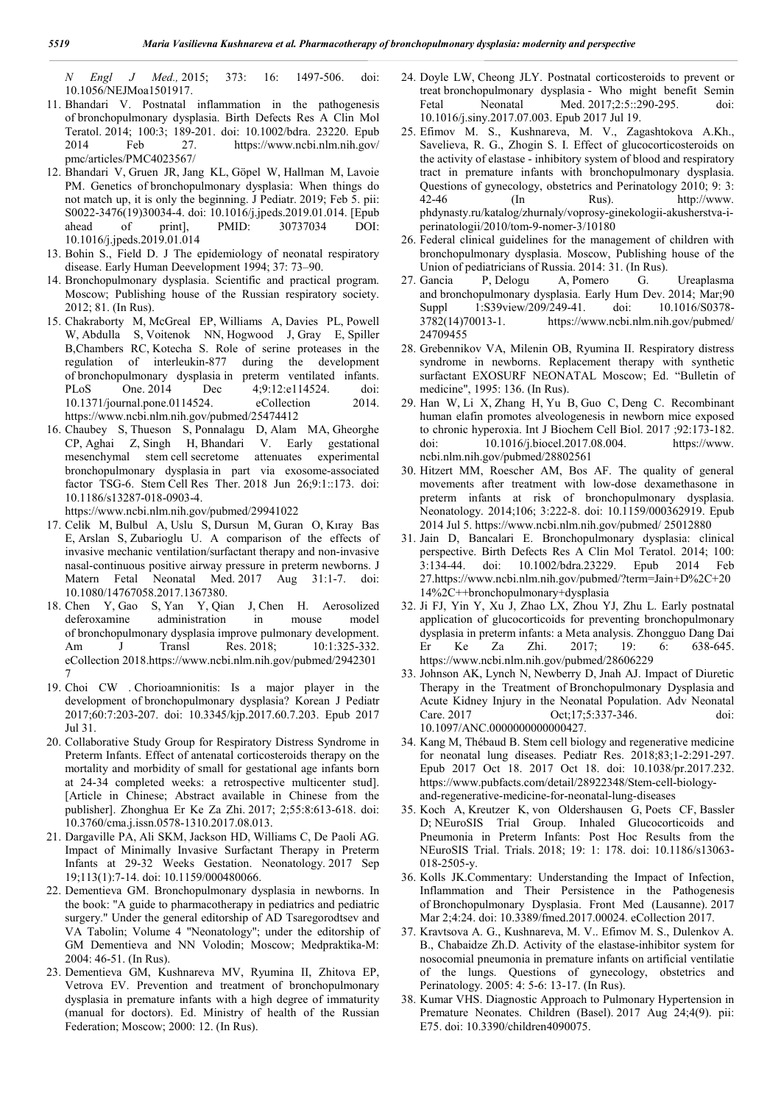*N Engl J Med.,* 2015; 373: 16: 1497-506. doi: 10.1056/NEJMoa1501917.

- 11. Bhandari V. Postnatal inflammation in the pathogenesis of bronchopulmonary dysplasia. Birth Defects Res A Clin Mol Teratol. 2014; 100:3; 189-201. doi: 10.1002/bdra. 23220. Epub 2014 Feb 27. https://www.ncbi.nlm.nih.gov/ pmc/articles/PMC4023567/
- 12. Bhandari V, Gruen JR, Jang KL, Göpel W, Hallman M, Lavoie PM. Genetics of bronchopulmonary dysplasia: When things do not match up, it is only the beginning. J Pediatr. 2019; Feb 5. pii: S0022-3476(19)30034-4. doi: 10.1016/j.jpeds.2019.01.014. [Epub ahead of print], PMID: 30737034 DOI: 10.1016/j.jpeds.2019.01.014
- 13. Bohin S., Field D. J The epidemiology of neonatal respiratory disease. Early Human Deevelopment 1994; 37: 73–90.
- 14. Bronchopulmonary dysplasia. Scientific and practical program. Moscow; Publishing house of the Russian respiratory society. 2012; 81. (In Rus).
- 15. Chakraborty M, McGreal EP, Williams A, Davies PL, Powell W, Abdulla S, Voitenok NN, Hogwood J, Gray E, Spiller B,Chambers RC, Kotecha S. Role of serine proteases in the regulation of interleukin-877 during the development of bronchopulmonary dysplasia in preterm ventilated infants. PLoS One. 2014 Dec 4;9:12:e114524. doi: 10.1371/journal.pone.0114524. eCollection 2014. https://www.ncbi.nlm.nih.gov/pubmed/25474412
- 16. Chaubey S, Thueson S, Ponnalagu D, Alam MA, Gheorghe CP, Aghai Z, Singh H, Bhandari V. Early gestational mesenchymal stem cell secretome attenuates experimental bronchopulmonary dysplasia in part via exosome-associated factor TSG-6. Stem Cell Res Ther. 2018 Jun 26;9:1::173. doi: 10.1186/s13287-018-0903-4.

https://www.ncbi.nlm.nih.gov/pubmed/29941022

- 17. Celik M, Bulbul A, Uslu S, Dursun M, Guran O, Kıray Bas E, Arslan S, Zubarioglu U. A comparison of the effects of invasive mechanic ventilation/surfactant therapy and non-invasive nasal-continuous positive airway pressure in preterm newborns. J Matern Fetal Neonatal Med. 2017 Aug 31:1-7. doi: 10.1080/14767058.2017.1367380.
- 18. Chen Y, Gao S, Yan Y, Qian J, Chen H. Aerosolized deferoxamine administration in mouse model of bronchopulmonary dysplasia improve pulmonary development. Am J Transl Res. 2018; 10:1:325-332. eCollection 2018.https://www.ncbi.nlm.nih.gov/pubmed/2942301 7
- 19. Choi CW . Chorioamnionitis: Is a major player in the development of bronchopulmonary dysplasia? Korean J Pediatr 2017;60:7:203-207. doi: 10.3345/kjp.2017.60.7.203. Epub 2017 Jul 31.
- 20. Collaborative Study Group for Respiratory Distress Syndrome in Preterm Infants. Effect of antenatal corticosteroids therapy on the mortality and morbidity of small for gestational age infants born at 24-34 completed weeks: a retrospective multicenter stud]. [Article in Chinese; Abstract available in Chinese from the publisher]. Zhonghua Er Ke Za Zhi. 2017; 2;55:8:613-618. doi: 10.3760/cma.j.issn.0578-1310.2017.08.013.
- 21. Dargaville PA, Ali SKM, Jackson HD, Williams C, De Paoli AG. Impact of Minimally Invasive Surfactant Therapy in Preterm Infants at 29-32 Weeks Gestation. Neonatology. 2017 Sep 19;113(1):7-14. doi: 10.1159/000480066.
- 22. Dementieva GM. Bronchopulmonary dysplasia in newborns. In the book: "A guide to pharmacotherapy in pediatrics and pediatric surgery." Under the general editorship of AD Tsaregorodtsev and VA Tabolin; Volume 4 "Neonatology"; under the editorship of GM Dementieva and NN Volodin; Moscow; Medpraktika-M: 2004: 46-51. (In Rus).
- 23. Dementieva GM, Kushnareva MV, Ryumina II, Zhitova EP, Vetrova EV. Prevention and treatment of bronchopulmonary dysplasia in premature infants with a high degree of immaturity (manual for doctors). Ed. Ministry of health of the Russian Federation; Moscow; 2000: 12. (In Rus).
- 24. Doyle LW, Cheong JLY. Postnatal corticosteroids to prevent or treat bronchopulmonary dysplasia - Who might benefit Semin Fetal Neonatal Med. 2017;2:5::290-295. doi: 10.1016/j.siny.2017.07.003. Epub 2017 Jul 19.
- 25. Efimov M. S., Kushnareva, M. V., Zagashtokova A.Kh., Savelieva, R. G., Zhogin S. I. Effect of glucocorticosteroids on the activity of elastase - inhibitory system of blood and respiratory tract in premature infants with bronchopulmonary dysplasia. Questions of gynecology, obstetrics and Perinatology 2010; 9: 3:<br>42-46 (In Rus). http://www.  $\text{(In} \quad \text{Rus}). \quad \text{http://www.}$ phdynasty.ru/katalog/zhurnaly/voprosy-ginekologii-akusherstva-iperinatologii/2010/tom-9-nomer-3/10180
- 26. Federal clinical guidelines for the management of children with bronchopulmonary dysplasia. Moscow, Publishing house of the Union of pediatricians of Russia. 2014: 31. (In Rus).
- 27. Gancia P, Delogu A, Pomero G. Ureaplasma and bronchopulmonary dysplasia. Early Hum Dev. 2014; Mar;90 Suppl 1:S39view/209/249-41. doi: 10.1016/S0378-<br>3782(14)70013-1. https://www.ncbi.nlm.nih.gov/pubmed/ https://www.ncbi.nlm.nih.gov/pubmed/ 24709455
- 28. Grebennikov VA, Milenin OB, Ryumina II. Respiratory distress syndrome in newborns. Replacement therapy with synthetic surfactant EXOSURF NEONATAL Moscow; Ed. "Bulletin of medicine", 1995: 136. (In Rus).
- 29. Han W, Li X, Zhang H, Yu B, Guo C, Deng C. Recombinant human elafin promotes alveologenesis in newborn mice exposed to chronic hyperoxia. Int J Biochem Cell Biol. 2017 ;92:173-182. doi: 10.1016/j.biocel.2017.08.004. https://www. ncbi.nlm.nih.gov/pubmed/28802561
- 30. Hitzert MM, Roescher AM, Bos AF. The quality of general movements after treatment with low-dose dexamethasone in preterm infants at risk of bronchopulmonary dysplasia. Neonatology. 2014;106; 3:222-8. doi: 10.1159/000362919. Epub 2014 Jul 5. https://www.ncbi.nlm.nih.gov/pubmed/ 25012880
- 31. Jain D, Bancalari E. Bronchopulmonary dysplasia: clinical perspective. Birth Defects Res A Clin Mol Teratol. 2014; 100: 3:134-44. doi: 10.1002/bdra.23229. Epub 2014 Feb 27.https://www.ncbi.nlm.nih.gov/pubmed/?term=Jain+D%2C+20 14%2C++bronchopulmonary+dysplasia
- 32. Ji FJ, Yin Y, Xu J, Zhao LX, Zhou YJ, Zhu L. Early postnatal application of glucocorticoids for preventing bronchopulmonary dysplasia in preterm infants: a Meta analysis. Zhongguo Dang Dai Er Ke Za Zhi. 2017; 19: 6: 638-645. https://www.ncbi.nlm.nih.gov/pubmed/28606229
- 33. Johnson AK, Lynch N, Newberry D, Jnah AJ. Impact of Diuretic Therapy in the Treatment of Bronchopulmonary Dysplasia and Acute Kidney Injury in the Neonatal Population. Adv Neonatal Care. 2017 **Oct**;17;5:337-346. doi: 10.1097/ANC.0000000000000427.
- 34. Kang M, Thébaud B. Stem cell biology and regenerative medicine for neonatal lung diseases. Pediatr Res. 2018;83;1-2:291-297. Epub 2017 Oct 18. 2017 Oct 18. doi: 10.1038/pr.2017.232. https://www.pubfacts.com/detail/28922348/Stem-cell-biologyand-regenerative-medicine-for-neonatal-lung-diseases
- 35. Koch A, Kreutzer K, von Oldershausen G, Poets CF, Bassler D; NEuroSIS Trial Group. Inhaled Glucocorticoids and Pneumonia in Preterm Infants: Post Hoc Results from the NEuroSIS Trial. Trials. 2018; 19: 1: 178. doi: 10.1186/s13063- 018-2505-y.
- 36. Kolls JK.Commentary: Understanding the Impact of Infection, Inflammation and Their Persistence in the Pathogenesis of Bronchopulmonary Dysplasia. Front Med (Lausanne). 2017 Mar 2;4:24. doi: 10.3389/fmed.2017.00024. eCollection 2017.
- 37. Kravtsova A. G., Kushnareva, M. V.. Efimov M. S., Dulenkov A. B., Chabaidze Zh.D. Activity of the elastase-inhibitor system for nosocomial pneumonia in premature infants on artificial ventilatie of the lungs. Questions of gynecology, obstetrics and Perinatology. 2005: 4: 5-6: 13-17. (In Rus).
- 38. Kumar VHS. Diagnostic Approach to Pulmonary Hypertension in Premature Neonates. Children (Basel). 2017 Aug 24;4(9). pii: E75. doi: 10.3390/children4090075.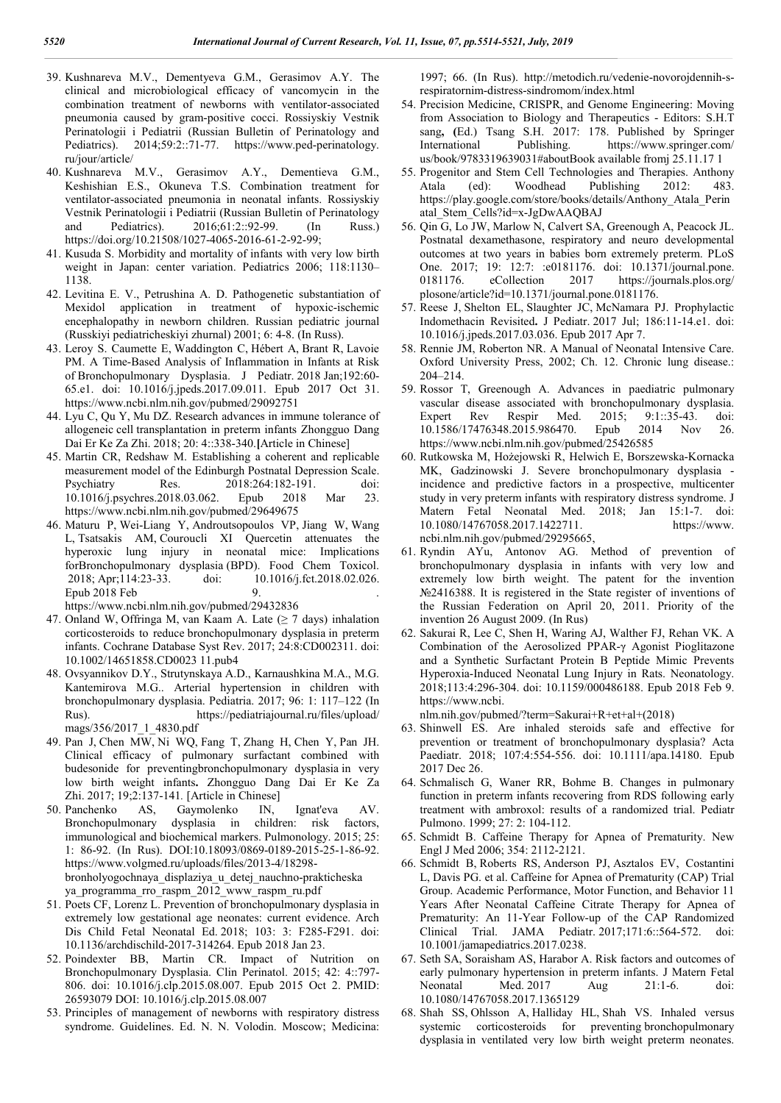- 39. Kushnareva M.V., Dementyeva G.M., Gerasimov A.Y. The clinical and microbiological efficacy of vancomycin in the combination treatment of newborns with ventilator-associated pneumonia caused by gram-positive cocci. Rossiyskiy Vestnik Perinatologii i Pediatrii (Russian Bulletin of Perinatology and Pediatrics). 2014;59:2::71-77. https://www.ped-perinatology. ru/jour/article/
- 40. Kushnareva M.V., Gerasimov A.Y., Dementieva G.M., Keshishian E.S., Okuneva T.S. Combination treatment for ventilator-associated pneumonia in neonatal infants. Rossiyskiy Vestnik Perinatologii i Pediatrii (Russian Bulletin of Perinatology and Pediatrics). 2016;61:2::92-99. (In Russ.) https://doi.org/10.21508/1027-4065-2016-61-2-92-99;
- 41. Kusuda S. Morbidity and mortality of infants with very low birth weight in Japan: center variation. Pediatrics 2006; 118:1130– 1138.
- 42. Levitina E. V., Petrushina A. D. Pathogenetic substantiation of Mexidol application in treatment of hypoxic-ischemic encephalopathy in newborn children. Russian pediatric journal (Russkiyi pediatricheskiyi zhurnal) 2001; 6: 4-8. (In Russ).
- 43. Leroy S. Caumette E, Waddington C, Hébert A, Brant R, Lavoie PM. A Time-Based Analysis of Inflammation in Infants at Risk of Bronchopulmonary Dysplasia. J Pediatr. 2018 Jan;192:60- 65.e1. doi: 10.1016/j.jpeds.2017.09.011. Epub 2017 Oct 31. https://www.ncbi.nlm.nih.gov/pubmed/29092751
- 44. Lyu C, Qu Y, Mu DZ. Research advances in immune tolerance of allogeneic cell transplantation in preterm infants Zhongguo Dang Dai Er Ke Za Zhi. 2018; 20: 4::338-340.**[**Article in Chinese]
- 45. Martin CR, Redshaw M. Establishing a coherent and replicable measurement model of the Edinburgh Postnatal Depression Scale. Psychiatry Res. 2018:264:182-191. doi: 10.1016/j.psychres.2018.03.062. Epub 2018 Mar 23. https://www.ncbi.nlm.nih.gov/pubmed/29649675
- 46. Maturu P, Wei-Liang Y, Androutsopoulos VP, Jiang W, Wang L, Tsatsakis AM, Couroucli XI Quercetin attenuates the hyperoxic lung injury in neonatal mice: Implications forBronchopulmonary dysplasia (BPD). Food Chem Toxicol. 2018; Apr;114:23-33. doi: 10.1016/j.fct.2018.02.026.<br>Epith 2018 Feb 9 Epub 2018 Feb

https://www.ncbi.nlm.nih.gov/pubmed/29432836

- 47. Onland W, Offringa M, van Kaam A. Late  $(\geq 7)$  days) inhalation corticosteroids to reduce bronchopulmonary dysplasia in preterm infants. Cochrane Database Syst Rev. 2017; 24:8:CD002311. doi: 10.1002/14651858.CD0023 11.pub4
- 48. Ovsyannikov D.Y., Strutynskaya A.D., Karnaushkina M.A., M.G. Kantemirova M.G.. Arterial hypertension in children with bronchopulmonary dysplasia. Pediatria. 2017; 96: 1: 117–122 (In Rus). https://pediatriajournal.ru/files/upload/ mags/356/2017\_1\_4830.pdf
- 49. Pan J, Chen MW, Ni WQ, Fang T, Zhang H, Chen Y, Pan JH. Clinical efficacy of pulmonary surfactant combined with budesonide for preventingbronchopulmonary dysplasia in very low birth weight infants**.** Zhongguo Dang Dai Er Ke Za Zhi. 2017; 19;2:137-141*.* [Article in Chinese]
- 50. Panchenko AS, Gaymolenko IN, Ignat'eva AV. Bronchopulmonary dysplasia in children: risk factors, immunological and biochemical markers. Pulmonology. 2015; 25: 1: 86-92. (In Rus). DOI:10.18093/0869-0189-2015-25-1-86-92. https://www.volgmed.ru/uploads/files/2013-4/18298 bronholyogochnaya\_displaziya\_u\_detej\_nauchno-prakticheska ya\_programma\_rro\_raspm\_2012\_www\_raspm\_ru.pdf
- 51. Poets CF, Lorenz L. Prevention of bronchopulmonary dysplasia in extremely low gestational age neonates: current evidence. Arch Dis Child Fetal Neonatal Ed. 2018; 103: 3: F285-F291. doi: 10.1136/archdischild-2017-314264. Epub 2018 Jan 23.
- 52. Poindexter BB, Martin CR. Impact of Nutrition on Bronchopulmonary Dysplasia. Clin Perinatol. 2015; 42: 4::797- 806. doi: 10.1016/j.clp.2015.08.007. Epub 2015 Oct 2. PMID: 26593079 DOI: 10.1016/j.clp.2015.08.007
- 53. Principles of management of newborns with respiratory distress syndrome. Guidelines. Ed. N. N. Volodin. Moscow; Medicina:

1997; 66. (In Rus). http://metodich.ru/vedenie-novorojdennih-srespiratornim-distress-sindromom/index.html

- 54. Precision Medicine, CRISPR, and Genome Engineering: Moving from Association to Biology and Therapeutics - Editors: S.H.T sang**, (**Ed.) Tsang S.H. 2017: 178. Published by Springer International Publishing. https://www.springer.com/ us/book/9783319639031#aboutBook available fromj 25.11.17 1
- 55. Progenitor and Stem Cell Technologies and Therapies. Anthony Atala (ed): Woodhead Publishing 2012: 483. https://play.google.com/store/books/details/Anthony\_Atala\_Perin atal\_Stem\_Cells?id=x-JgDwAAQBAJ
- 56. Qin G, Lo JW, Marlow N, Calvert SA, Greenough A, Peacock JL. Postnatal dexamethasone, respiratory and neuro developmental outcomes at two years in babies born extremely preterm. PLoS One. 2017; 19: 12:7: :e0181176. doi: 10.1371/journal.pone. 0181176. eCollection 2017 https://journals.plos.org/ plosone/article?id=10.1371/journal.pone.0181176.
- 57. Reese J, Shelton EL, Slaughter JC, McNamara PJ. Prophylactic Indomethacin Revisited**.** J Pediatr. 2017 Jul; 186:11-14.e1. doi: 10.1016/j.jpeds.2017.03.036. Epub 2017 Apr 7.
- 58. Rennie JM, Roberton NR. A Manual of Neonatal Intensive Care. Oxford University Press, 2002; Ch. 12. Chronic lung disease.: 204–214.
- 59. Rossor T, Greenough A. Advances in paediatric pulmonary vascular disease associated with bronchopulmonary dysplasia. Expert Rev Respir Med. 2015; 9:1::35-43. doi: 10.1586/17476348.2015.986470. Epub 2014 Nov 26. https://www.ncbi.nlm.nih.gov/pubmed/25426585
- 60. Rutkowska M, Hożejowski R, Helwich E, Borszewska-Kornacka MK, Gadzinowski J. Severe bronchopulmonary dysplasia incidence and predictive factors in a prospective, multicenter study in very preterm infants with respiratory distress syndrome. J Matern Fetal Neonatal Med. 2018; Jan 15:1-7. doi: 10.1080/14767058.2017.1422711. https://www. ncbi.nlm.nih.gov/pubmed/29295665,
- 61. Ryndin AYu, Antonov AG. Method of prevention of bronchopulmonary dysplasia in infants with very low and extremely low birth weight. The patent for the invention №2416388. It is registered in the State register of inventions of the Russian Federation on April 20, 2011. Priority of the invention 26 August 2009. (In Rus)
- 62. Sakurai R, Lee C, Shen H, Waring AJ, Walther FJ, Rehan VK. A Combination of the Aerosolized PPAR-γ Agonist Pioglitazone and a Synthetic Surfactant Protein B Peptide Mimic Prevents Hyperoxia-Induced Neonatal Lung Injury in Rats. Neonatology. 2018;113:4:296-304. doi: 10.1159/000486188. Epub 2018 Feb 9. https://www.ncbi.

nlm.nih.gov/pubmed/?term=Sakurai+R+et+al+(2018)

- 63. Shinwell ES. Are inhaled steroids safe and effective for prevention or treatment of bronchopulmonary dysplasia? Acta Paediatr. 2018; 107:4:554-556. doi: 10.1111/apa.14180. Epub 2017 Dec 26.
- 64. Schmalisch G, Waner RR, Bohme B. Changes in pulmonary function in preterm infants recovering from RDS following early treatment with ambroxol: results of a randomized trial. Pediatr Pulmono. 1999; 27: 2: 104-112.
- 65. Schmidt B. Caffeine Therapy for Apnea of Prematurity. New Engl J Med 2006; 354: 2112-2121.
- 66. Schmidt B, Roberts RS, Anderson PJ, Asztalos EV, Costantini L, Davis PG. et al. Caffeine for Apnea of Prematurity (CAP) Trial Group. Academic Performance, Motor Function, and Behavior 11 Years After Neonatal Caffeine Citrate Therapy for Apnea of Prematurity: An 11-Year Follow-up of the CAP Randomized Clinical Trial. JAMA Pediatr. 2017;171:6::564-572. doi: 10.1001/jamapediatrics.2017.0238.
- 67. Seth SA, Soraisham AS, Harabor A. Risk factors and outcomes of early pulmonary hypertension in preterm infants. J Matern Fetal Neonatal Med. 2017 Aug 21:1-6. doi: 10.1080/14767058.2017.1365129
- 68. Shah SS, Ohlsson A, Halliday HL, Shah VS. Inhaled versus systemic corticosteroids for preventing bronchopulmonary dysplasia in ventilated very low birth weight preterm neonates.